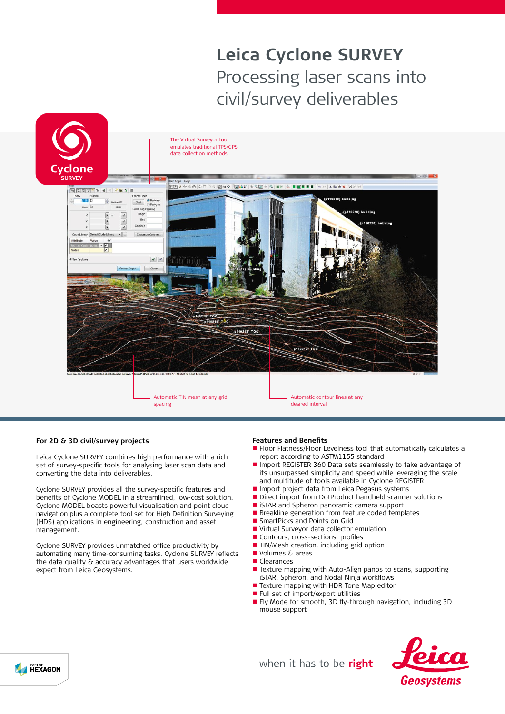# **Leica Cyclone SURVEY** Processing laser scans into civil/survey deliverables



# **For 2D & 3D civil/survey projects**

Leica Cyclone SURVEY combines high performance with a rich set of survey-specific tools for analysing laser scan data and converting the data into deliverables.

Cyclone SURVEY provides all the survey-specific features and benefits of Cyclone MODEL in a streamlined, low-cost solution. Cyclone MODEL boasts powerful visualisation and point cloud navigation plus a complete tool set for High Definition Surveying (HDS) applications in engineering, construction and asset management.

Cyclone SURVEY provides unmatched office productivity by automating many time-consuming tasks. Cyclone SURVEY reflects the data quality & accuracy advantages that users worldwide expect from Leica Geosystems.

### **Features and Benefits**

- Floor Flatness/Floor Levelness tool that automatically calculates a report according to ASTM1155 standard
- n Import REGISTER 360 Data sets seamlessly to take advantage of its unsurpassed simplicity and speed while leveraging the scale and multitude of tools available in Cyclone REGISTER
- I Import project data from Leica Pegasus systems<br>I Direct import from DotProduct handheld scannel
- Direct import from DotProduct handheld scanner solutions<br>■ ISTAR and Spheron panoramic camera support
- iSTAR and Spheron panoramic camera support
- **n** Breakline generation from feature coded templates
- SmartPicks and Points on Grid<br>■ Virtual Surveyor data collector
- Virtual Surveyor data collector emulation
- Contours, cross-sections, profiles
- n TIN/Mesh creation, including grid option
- Volumes & areas
- **n** Clearances
- Texture mapping with Auto-Align panos to scans, supporting iSTAR, Spheron, and Nodal Ninja workflows
- Texture mapping with HDR Tone Map editor
- $\blacksquare$  Full set of import/export utilities
- Fly Mode for smooth, 3D fly-through navigation, including 3D mouse support



- when it has to be right